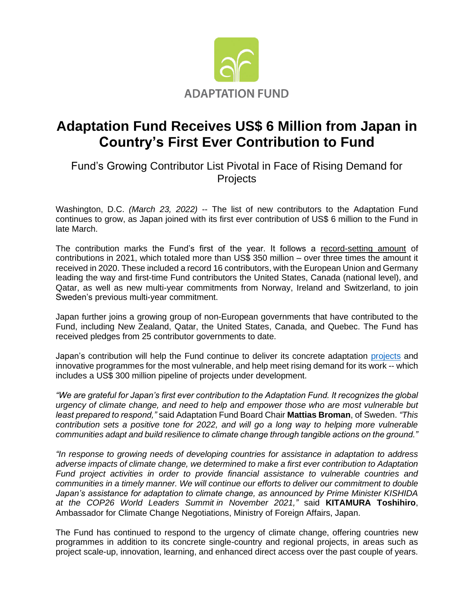

## **Adaptation Fund Receives US\$ 6 Million from Japan in Country's First Ever Contribution to Fund**

Fund's Growing Contributor List Pivotal in Face of Rising Demand for **Projects** 

Washington, D.C. *(March 23, 2022)* -- The list of new contributors to the Adaptation Fund continues to grow, as Japan joined with its first ever contribution of US\$ 6 million to the Fund in late March.

The contribution marks the Fund's first of the year. It follows a [record-setting amount](https://www.adaptation-fund.org/adaptation-fund-raises-record-us-356-million-in-new-pledges-at-cop26-for-its-concrete-actions-to-most-vulnerable/) of contributions in 2021, which totaled more than US\$ 350 million – over three times the amount it received in 2020. These included a record 16 contributors, with the European Union and Germany leading the way and first-time Fund contributors the United States, Canada (national level), and Qatar, as well as new multi-year commitments from Norway, Ireland and Switzerland, to join Sweden's previous multi-year commitment.

Japan further joins a growing group of non-European governments that have contributed to the Fund, including New Zealand, Qatar, the United States, Canada, and Quebec. The Fund has received pledges from 25 contributor governments to date.

Japan's contribution will help the Fund continue to deliver its concrete adaptation [projects](https://www.adaptation-fund.org/pdfjs/web/viewer.html?file=https://www.adaptation-fund.org/wp-content/uploads/2018/04/AF-infographic-Eng-Sept2021-v4.pdf) and innovative programmes for the most vulnerable, and help meet rising demand for its work -- which includes a US\$ 300 million pipeline of projects under development.

*"We are grateful for Japan's first ever contribution to the Adaptation Fund. It recognizes the global urgency of climate change, and need to help and empower those who are most vulnerable but least prepared to respond,"* said Adaptation Fund Board Chair **Mattias Broman**, of Sweden. *"This contribution sets a positive tone for 2022, and will go a long way to helping more vulnerable communities adapt and build resilience to climate change through tangible actions on the ground."*

*"In response to growing needs of developing countries for assistance in adaptation to address adverse impacts of climate change, we determined to make a first ever contribution to Adaptation Fund project activities in order to provide financial assistance to vulnerable countries and communities in a timely manner. We will continue our efforts to deliver our commitment to double Japan's assistance for adaptation to climate change, as announced by Prime Minister KISHIDA at the COP26 World Leaders Summit in November 2021,"* said **KITAMURA Toshihiro**, Ambassador for Climate Change Negotiations, Ministry of Foreign Affairs, Japan.

The Fund has continued to respond to the urgency of climate change, offering countries new programmes in addition to its concrete single-country and regional projects, in areas such as project scale-up, innovation, learning, and enhanced direct access over the past couple of years.